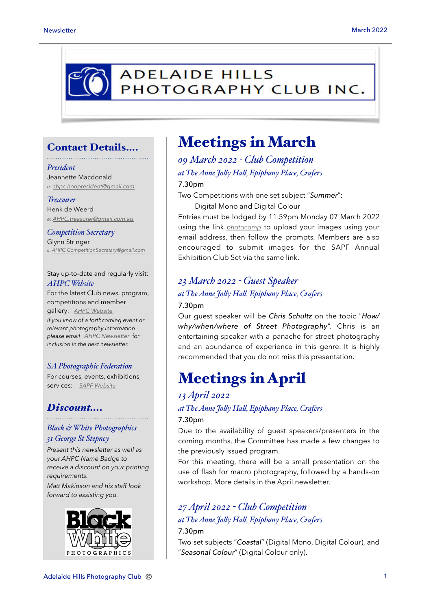

### Contact Details….

#### *President*

Jeannette Macdonald *e: [ahpc.honpresident@gmail.com](mailto:ahpc.honpresident@gmail.com)*

#### *Treasurer*

Henk de Weerd *e: [AHPC.treasurer@gmail.com.au](mailto:AHPC.treasurer@gmail.com.au)*

*Competition Secretary* Glynn Stringer *e: [AHPC.CompetitionSecretary@gmail.com](mailto:AHPC.CompetitionSecretary@gmail.com)*

Stay up-to-date and regularly visit: *AHPC Website*

For the latest Club news, program, competitions and member gallery: *[AHPC Website](http://www.adelaidehillsphotographyclub.com.au) If you know of a forthcoming event or relevant photography information please email [AHPC Newsletter](mailto:AHPC.newsletter@gmail.com)* f*or inclusion in the next newsletter.* 

### *SA Photographic Federation*

For courses, events, exhibitions, services: *[SAPF Website](https://www.sapf.org.au)*

### *Discount….*

### *Black & White Photographics*

#### *31 George St Stepney*

*Present this newsletter as well as your AHPC Name Badge to receive a discount on your printing requirements.* 

*Matt Makinson and his staff look forward to assisting you.*



## Meetings in March

## *09 March 2022 - Club Competition at The Anne Joly Hal, Epiphany Place, Crafers* 7.30pm

Two Competitions with one set subject "*Summer*":

Digital Mono and Digital Colour

Entries must be lodged by 11.59pm Monday 07 March 2022 using the link *[photocomp](http://www.photocompentries.net/?org=AHPC)* to upload your images using your email address, then follow the prompts. Members are also encouraged to submit images for the SAPF Annual Exhibition Club Set via the same link.

## *23 March 2022 - Guest Speaker*

### *at The Anne Joly Hal, Epiphany Place, Crafers* 7.30pm

Our guest speaker will be *Chris Schultz* on the topic "*How/ why/when/where of Street Photography*". Chris is an entertaining speaker with a panache for street photography and an abundance of experience in this genre. It is highly recommended that you do not miss this presentation.

# Meetings in April

### *13 April 2022*

*at The Anne Joly Hal, Epiphany Place, Crafers*

### 7.30pm

Due to the availability of guest speakers/presenters in the coming months, the Committee has made a few changes to the previously issued program.

For this meeting, there will be a small presentation on the use of flash for macro photography, followed by a hands-on workshop. More details in the April newsletter.

## *27 April 2022 - Club Competition*

### *at The Anne Joly Hal, Epiphany Place, Crafers* 7.30pm

Two set subjects "*Coastal*" (Digital Mono, Digital Colour), and "*Seasonal Colour*" (Digital Colour only).